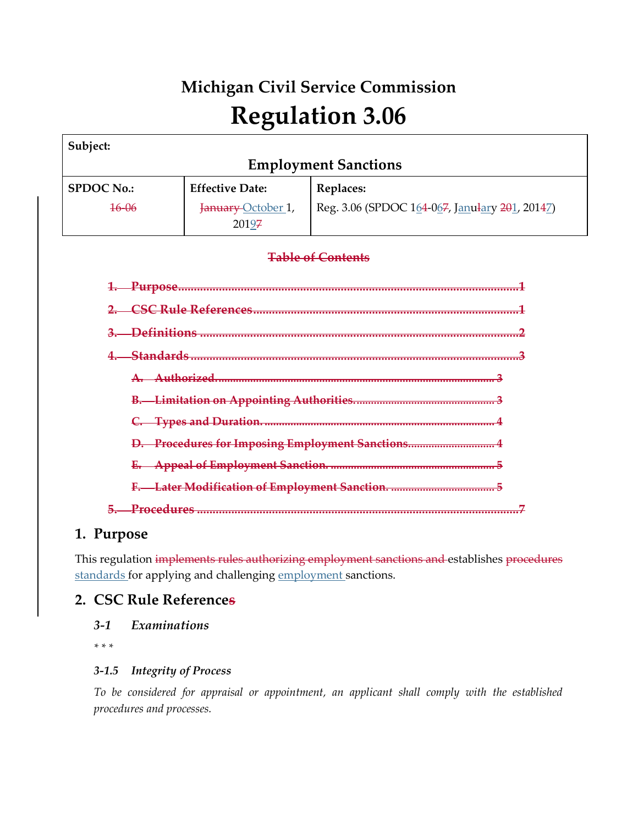# **Michigan Civil Service Commission Regulation 3.06**

| Subject:                                          |                                     |                                                |  |  |  |
|---------------------------------------------------|-------------------------------------|------------------------------------------------|--|--|--|
| <b>Employment Sanctions</b>                       |                                     |                                                |  |  |  |
| <b>SPDOC No.:</b>                                 | <b>Effective Date:</b><br>Replaces: |                                                |  |  |  |
| $16 - 06$                                         | January October 1,<br>20197         | Reg. 3.06 (SPDOC 164-067, Janulary 201, 20147) |  |  |  |
| <b>Table of Contents</b>                          |                                     |                                                |  |  |  |
|                                                   |                                     |                                                |  |  |  |
|                                                   |                                     |                                                |  |  |  |
|                                                   |                                     |                                                |  |  |  |
| <del>Standards </del>                             |                                     |                                                |  |  |  |
| Authorized                                        |                                     |                                                |  |  |  |
|                                                   |                                     |                                                |  |  |  |
|                                                   |                                     |                                                |  |  |  |
| D. Procedures for Imposing Employment Sanctions 4 |                                     |                                                |  |  |  |
|                                                   |                                     |                                                |  |  |  |
|                                                   |                                     |                                                |  |  |  |
|                                                   |                                     |                                                |  |  |  |

# **1. Purpose**

This regulation implements rules authorizing employment sanctions and establishes procedures standards for applying and challenging employment sanctions.

# **2. CSC Rule References**

*3-1 Examinations*

*\* \* \**

## *3-1.5 Integrity of Process*

*To be considered for appraisal or appointment, an applicant shall comply with the established procedures and processes.*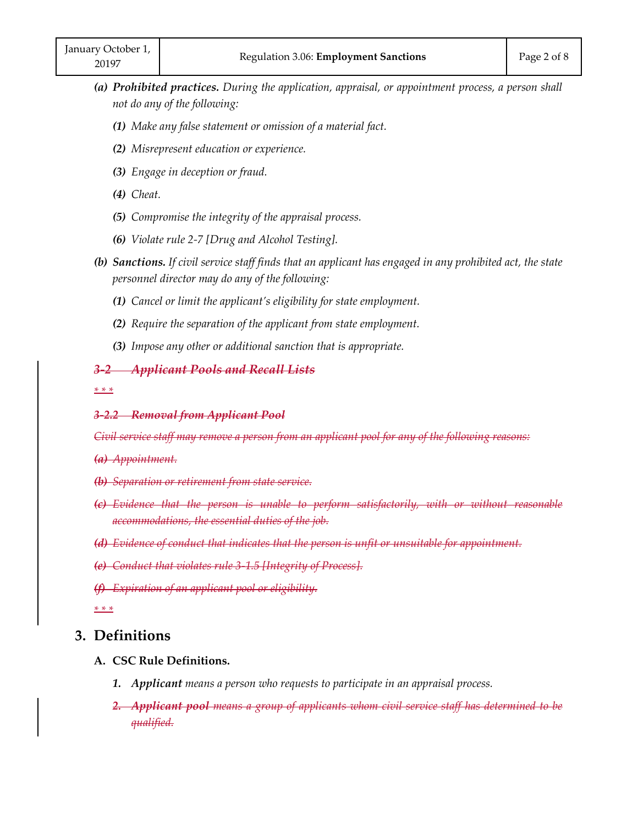- *(a) Prohibited practices. During the application, appraisal, or appointment process, a person shall not do any of the following:*
	- *(1) Make any false statement or omission of a material fact.*
	- *(2) Misrepresent education or experience.*
	- *(3) Engage in deception or fraud.*
	- *(4) Cheat.*
	- *(5) Compromise the integrity of the appraisal process.*
	- *(6) Violate rule 2-7 [Drug and Alcohol Testing].*
- *(b) Sanctions. If civil service staff finds that an applicant has engaged in any prohibited act, the state personnel director may do any of the following:*
	- *(1) Cancel or limit the applicant's eligibility for state employment.*
	- *(2) Require the separation of the applicant from state employment.*
	- *(3) Impose any other or additional sanction that is appropriate.*

#### *3-2 Applicant Pools and Recall Lists*

*\* \* \** 

#### *3-2.2 Removal from Applicant Pool*

*Civil service staff may remove a person from an applicant pool for any of the following reasons:*

- *(a) Appointment.*
- *(b) Separation or retirement from state service.*
- *(c) Evidence that the person is unable to perform satisfactorily, with or without reasonable accommodations, the essential duties of the job.*
- *(d) Evidence of conduct that indicates that the person is unfit or unsuitable for appointment.*
- *(e) Conduct that violates rule 3-1.5 [Integrity of Process].*
- *(f) Expiration of an applicant pool or eligibility.*

*\* \* \** 

#### **3. Definitions**

#### **A. CSC Rule Definitions.**

- *1. Applicant means a person who requests to participate in an appraisal process.*
- *2. Applicant pool means a group of applicants whom civil service staff has determined to be qualified.*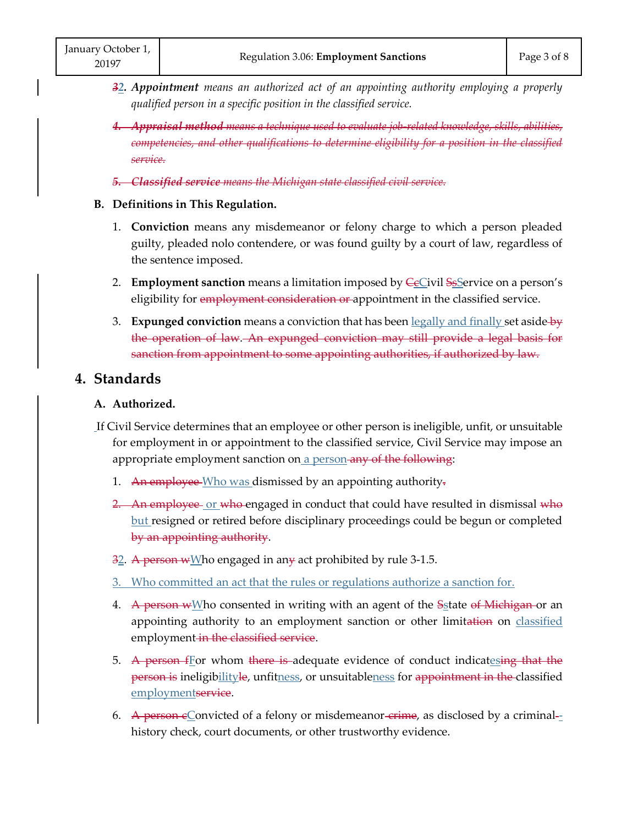- *32. Appointment means an authorized act of an appointing authority employing a properly qualified person in a specific position in the classified service.*
- *4. Appraisal method means a technique used to evaluate job-related knowledge, skills, abilities, competencies, and other qualifications to determine eligibility for a position in the classified service.*
- *5. Classified service means the Michigan state classified civil service.*
- **B. Definitions in This Regulation.**
	- 1. **Conviction** means any misdemeanor or felony charge to which a person pleaded guilty, pleaded nolo contendere, or was found guilty by a court of law, regardless of the sentence imposed.
	- 2. **Employment sanction** means a limitation imposed by **CeCivil SeService** on a person's eligibility for employment consideration or appointment in the classified service.
	- 3. **Expunged conviction** means a conviction that has been legally and finally set aside by the operation of law. An expunged conviction may still provide a legal basis for sanction from appointment to some appointing authorities, if authorized by law.

# **4. Standards**

#### **A. Authorized.**

- If Civil Service determines that an employee or other person is ineligible, unfit, or unsuitable for employment in or appointment to the classified service, Civil Service may impose an appropriate employment sanction on a person any of the following:
	- 1. An employee Who was dismissed by an appointing authority.
	- 2. An employee or who engaged in conduct that could have resulted in dismissal who but resigned or retired before disciplinary proceedings could be begun or completed by an appointing authority. 1. An employe<br>2. An employe<br>but resigned<br>by an appoi<br>32. A person w<br>3. Who commi
	- 3<u>2</u>. <del>A person w</del>Who engaged in an<del>y</del> act prohibited by rule 3-1.5. <u>2</u>. <del>A person w</del>
	- 3. Who committed an act that the rules or regulations authorize a sanction for.
	- 4. A person wMho consented in writing with an agent of the Sstate o<del>f Michigan o</del>r an appointing authority to an employment sanction or other limitation on classified employment in the classified service.
	- 5. A person for whom there is adequate evidence of conduct indicatesing that the <del>person is</del> ineligib<u>ilityle,</u> unfit<u>ness</u>, or unsuitable<u>ness</u> for <del>appointment in the c</del>lassified employmentservice.
	- 6. A person  $\epsilon$ Convicted of a felony or misdemeanor-crime, as disclosed by a criminalhistory check, court documents, or other trustworthy evidence.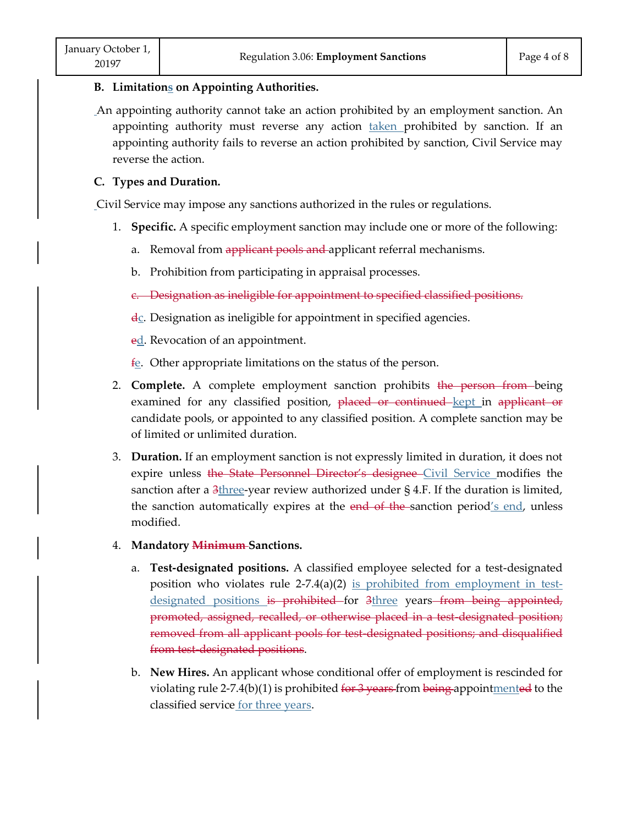#### **B. Limitations on Appointing Authorities.**

An appointing authority cannot take an action prohibited by an employment sanction. An appointing authority must reverse any action taken prohibited by sanction. If an appointing authority fails to reverse an action prohibited by sanction, Civil Service may reverse the action.

#### **C. Types and Duration.**

Civil Service may impose any sanctions authorized in the rules or regulations.

- 1. **Specific.** A specific employment sanction may include one or more of the following:
	- a. Removal from applicant pools and applicant referral mechanisms.
	- b. Prohibition from participating in appraisal processes.
	- c. Designation as ineligible for appointment to specified classified positions.
	- $\frac{d_C}{dx}$ . Designation as ineligible for appointment in specified agencies.
	- ed. Revocation of an appointment.
	- $f_{\rm c}$ . Other appropriate limitations on the status of the person.
- 2. **Complete.** A complete employment sanction prohibits the person from being examined for any classified position, placed or continued kept in applicant or candidate pools, or appointed to any classified position. A complete sanction may be of limited or unlimited duration.
- 3. **Duration.** If an employment sanction is not expressly limited in duration, it does not expire unless the State Personnel Director's designee Civil Service modifies the sanction after a  $3$ three-year review authorized under § 4.F. If the duration is limited, the sanction automatically expires at the  $end$  of the sanction period's end, unless modified.
- 4. **Mandatory Minimum Sanctions.**
- a. **Test-designated positions.** A classified employee selected for a test-designated position who violates rule 2-7.4(a)(2) is prohibited from employment in testdesignated positions is prohibited for 3three years from being appointed, promoted, assigned, recalled, or otherwise placed in a test-designated position; removed from all applicant pools for test-designated positions; and disqualified from test-designated positions. The antest are state Tensorier Breeder B<br>
cition after a 3three-year review authorized u<br>
sanction automatically expires at the end-<br>
dified.<br> **ndatory <del>Minimum</del>-Sanctions.**<br> **Test-designated positions.** A classified em<br>
p
	- b. **New Hires.** An applicant whose conditional offer of employment is rescinded for violating rule 2-7.4(b)(1) is prohibited for  $3$  years from being appoint mented to the classified service for three years.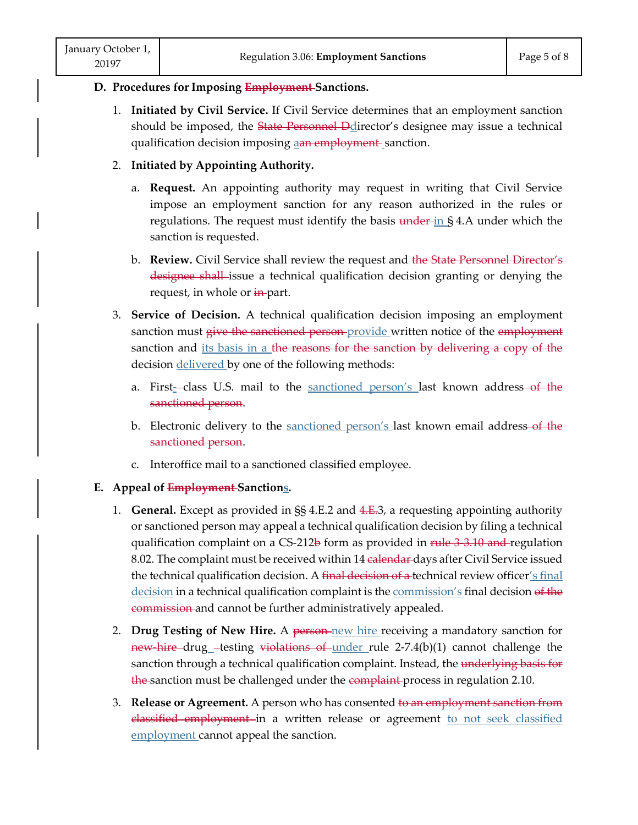#### **D. Procedures for Imposing Employment Sanctions.**

1. **Initiated by Civil Service.** If Civil Service determines that an employment sanction should be imposed, the State Personnel Ddirector's designee may issue a technical qualification decision imposing aan employment sanction.

### 2. **Initiated by Appointing Authority.**

- a. **Request.** An appointing authority may request in writing that Civil Service impose an employment sanction for any reason authorized in the rules or regulations. The request must identify the basis  $\frac{1}{2}$  and  $\frac{1}{2}$  and  $\frac{1}{2}$  and  $\frac{1}{2}$  and  $\frac{1}{2}$  and  $\frac{1}{2}$  and  $\frac{1}{2}$  and  $\frac{1}{2}$  and  $\frac{1}{2}$  and  $\frac{1}{2}$  and  $\frac{1}{2}$  and  $\frac{1}{2}$  and  $\frac{$ sanction is requested.
- b. **Review.** Civil Service shall review the request and the State Personnel Director's designee shall issue a technical qualification decision granting or denying the request, in whole or in-part.
- 3. **Service of Decision.** A technical qualification decision imposing an employment sanction must give the sanctioned person provide written notice of the employment sanction and its basis in a the reasons for the sanction by delivering a copy of the decision delivered by one of the following methods:
	- a. First-class U.S. mail to the sanctioned person's last known address-of the sanctioned person.
	- b. Electronic delivery to the sanctioned person's last known email address-of the sanctioned person.
	- c. Interoffice mail to a sanctioned classified employee.

## **E. Appeal of Employment Sanctions.**

- 1. **General.** Except as provided in §§ 4.E.2 and 4.E.3, a requesting appointing authority or sanctioned person may appeal a technical qualification decision by filing a technical qualification complaint on a CS-212b form as provided in rule 3 3.10 and regulation 8.02. The complaint must be received within 14 <del>calendar</del> days after Civil Service issued the technical qualification decision. A final decision of a technical review officer's final decision in a technical qualification complaint is the commission's final decision of the commission and cannot be further administratively appealed.
- 2. **Drug Testing of New Hire.** A person new hire receiving a mandatory sanction for new hire drug testing violations of under rule 2-7.4(b)(1) cannot challenge the sanction through a technical qualification complaint. Instead, the underlying basis for the sanction must be challenged under the complaint process in regulation 2.10.
- 3. **Release or Agreement.** A person who has consented to an employment sanction from elassified employment in a written release or agreement to not seek classified employment cannot appeal the sanction.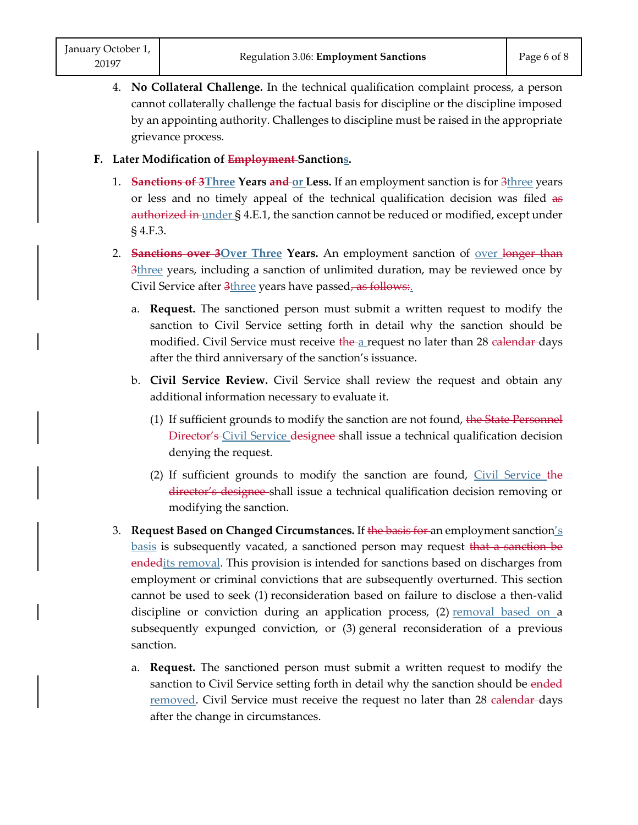4. **No Collateral Challenge.** In the technical qualification complaint process, a person cannot collaterally challenge the factual basis for discipline or the discipline imposed by an appointing authority. Challenges to discipline must be raised in the appropriate grievance process.

#### **F. Later Modification of Employment Sanctions.**

- 1. **Sanctions of 3**Three **Years and or Less.** If an employment sanction is for 3three years or less and no timely appeal of the technical qualification decision was filed as authorized in under § 4.E.1, the sanction cannot be reduced or modified, except under § 4.F.3.
- 2. **Sanctions over 3Over Three Years.** An employment sanction of over longer than 3three years, including a sanction of unlimited duration, may be reviewed once by Civil Service after 3three years have passed, as follows:
	- a. **Request.** The sanctioned person must submit a written request to modify the sanction to Civil Service setting forth in detail why the sanction should be modified. Civil Service must receive the a request no later than 28 calendar days after the third anniversary of the sanction's issuance.
	- b. **Civil Service Review.** Civil Service shall review the request and obtain any additional information necessary to evaluate it.
		- (1) If sufficient grounds to modify the sanction are not found, the State Personnel Director's Civil Service designee shall issue a technical qualification decision denying the request.
		- (2) If sufficient grounds to modify the sanction are found, Civil Service the director's designee shall issue a technical qualification decision removing or modifying the sanction.
- 3. **Request Based on Changed Circumstances.** If the basis for an employment sanction's <u>basis</u> is subsequently vacated, a sanctioned person may request <del>that a sanction be</del> endedits removal. This provision is intended for sanctions based on discharges from employment or criminal convictions that are subsequently overturned. This section cannot be used to seek (1) reconsideration based on failure to disclose a then-valid discipline or conviction during an application process, (2) removal based on a subsequently expunged conviction, or (3) general reconsideration of a previous sanction.
	- a. **Request.** The sanctioned person must submit a written request to modify the sanction to Civil Service setting forth in detail why the sanction should be ended removed. Civil Service must receive the request no later than 28 calendar-days after the change in circumstances.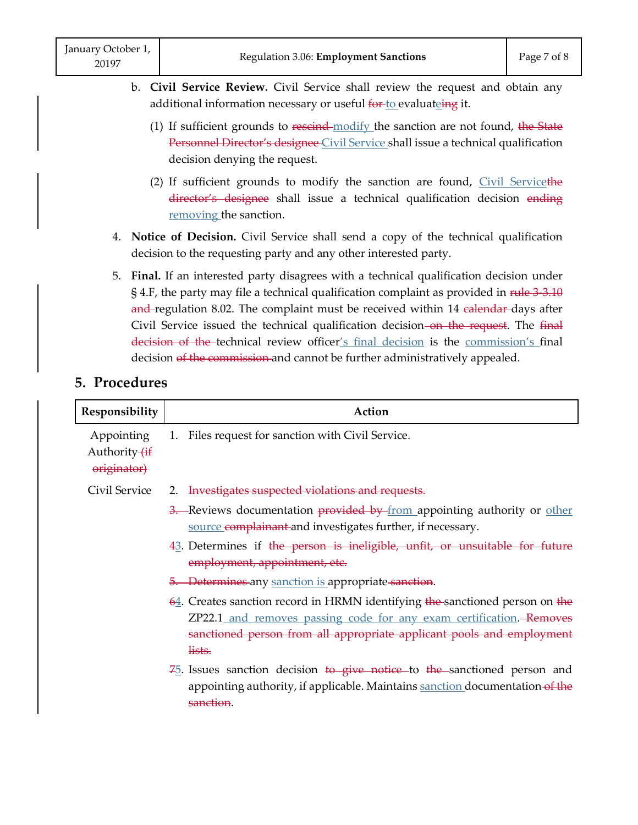- b. **Civil Service Review.** Civil Service shall review the request and obtain any additional information necessary or useful for to evaluateing it.
	- (1) If sufficient grounds to rescind-modify the sanction are not found, the State Personnel Director's designee Civil Service shall issue a technical qualification decision denying the request.
	- (2) If sufficient grounds to modify the sanction are found,  $Civil$  Servicethe director's designee shall issue a technical qualification decision ending removing the sanction.
- 4. **Notice of Decision.** Civil Service shall send a copy of the technical qualification decision to the requesting party and any other interested party.
- 5. **Final.** If an interested party disagrees with a technical qualification decision under § 4.F, the party may file a technical qualification complaint as provided in rule 3-3.10 and regulation 8.02. The complaint must be received within 14 calendar days after Civil Service issued the technical qualification decision–on the request. The final decision of the technical review officer's final decision is the commission's final decision of the commission and cannot be further administratively appealed.

# **5. Procedures**

| Responsibility                                        | Action                                                                                                                                                                                                                                 |  |
|-------------------------------------------------------|----------------------------------------------------------------------------------------------------------------------------------------------------------------------------------------------------------------------------------------|--|
| Appointing<br>Authority <del>(if</del><br>originator) | 1. Files request for sanction with Civil Service.                                                                                                                                                                                      |  |
| Civil Service                                         | 2. Investigates suspected violations and requests.                                                                                                                                                                                     |  |
|                                                       | 3. Reviews documentation provided by from appointing authority or <u>other</u><br>source complainant and investigates further, if necessary.                                                                                           |  |
|                                                       | 43. Determines if the person is ineligible, unfit, or unsuitable for future<br>employment, appointment, etc.                                                                                                                           |  |
|                                                       | 5. Determines any sanction is appropriate sanction.                                                                                                                                                                                    |  |
|                                                       | 64. Creates sanction record in HRMN identifying the sanctioned person on the<br>ZP22.1_and removes passing code for any exam certification. Removes<br>sanctioned person from all appropriate applicant pools and employment<br>lists. |  |
|                                                       | $75$ . Issues sanction decision to give notice to the sanctioned person and<br>appointing authority, if applicable. Maintains sanction documentation of the<br>sanction.                                                               |  |